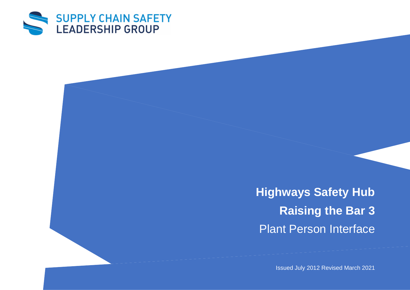

**Highways Safety Hub Raising the Bar 3** Plant Person Interface

Issued July 2012 Revised March 2021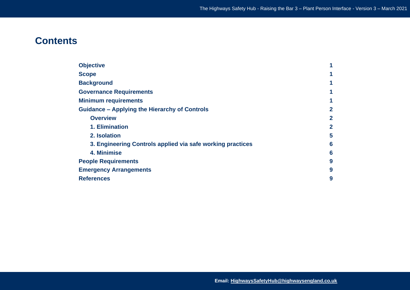# **Contents**

| <b>Objective</b>                                           |                |
|------------------------------------------------------------|----------------|
| <b>Scope</b>                                               | 1              |
| <b>Background</b>                                          | 1              |
| <b>Governance Requirements</b>                             | 1              |
| <b>Minimum requirements</b>                                | 1              |
| <b>Guidance - Applying the Hierarchy of Controls</b>       | 2              |
| <b>Overview</b>                                            | $\overline{2}$ |
| 1. Elimination                                             | $\overline{2}$ |
| 2. Isolation                                               | 5              |
| 3. Engineering Controls applied via safe working practices | 6              |
| 4. Minimise                                                | 6              |
| <b>People Requirements</b>                                 | 9              |
| <b>Emergency Arrangements</b>                              | 9              |
| <b>References</b>                                          | 9              |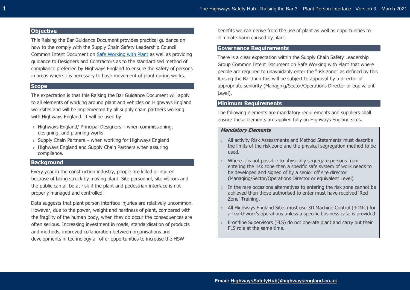## **Objective**

This Raising the Bar Guidance Document provides practical guidance on how to the comply with the Supply Chain Safety Leadership Council Common Intent Document on [Safe Working with Plant](https://www.highwayssafetyhub.com/uploads/5/1/2/9/51294565/common_intent_-_safe_working_with_plant.pdf) as well as providing guidance to Designers and Contractors as to the standardised method of compliance preferred by Highways England to ensure the safety of persons in areas where it is necessary to have movement of plant during works.

## **Scope**

The expectation is that this Raising the Bar Guidance Document will apply to all elements of working around plant and vehicles on Highways England worksites and will be implemented by all supply chain partners working with Highways England. It will be used by:

- $\rightarrow$  Highways England/ Principal Designers when commissioning, designing, and planning works
- $\rightarrow$  Supply Chain Partners when working for Highways England
- › Highways England and Supply Chain Partners when assuring compliance.

## **Background**

Every year in the construction industry, people are killed or injured because of being struck by moving plant. Site personnel, site visitors and the public can all be at risk if the plant and pedestrian interface is not properly managed and controlled.

Data suggests that plant person interface injuries are relatively uncommon. However, due to the power, weight and hardness of plant, compared with the fragility of the human body, when they do occur the consequences are often serious. Increasing investment in roads, standardisation of products and methods, improved collaboration between organisations and developments in technology all offer opportunities to increase the HSW

benefits we can derive from the use of plant as well as opportunities to eliminate harm caused by plant.

## **Governance Requirements**

There is a clear expectation within the Supply Chain Safety Leadership Group Common Intent Document on Safe Working with Plant that where people are required to unavoidably enter the "risk zone" as defined by this Raising the Bar then this will be subject to approval by a director of appropriate seniority (Managing/Sector/Operations Director or equivalent Level).

# **Minimum Requirements**

The following elements are mandatory requirements and suppliers shall ensure these elements are applied fully on Highways England sites.

## **Mandatory Elements**

- › All activity Risk Assessments and Method Statements must describe the limits of the risk zone and the physical segregation method to be used.
- › Where it is not possible to physically segregate persons from entering the risk zone then a specific safe system of work needs to be developed and signed of by a senior off site director (Managing/Sector/Operations Director or equivalent Level)
- › In the rare occasions alternatives to entering the risk zone cannot be achieved then those authorised to enter must have received 'Red Zone' Training.
- › All Highways England Sites must use 3D Machine Control (3DMC) for all earthwork's operations unless a specific business case is provided.
- › Frontline Supervisors (FLS) do not operate plant and carry out their FLS role at the same time.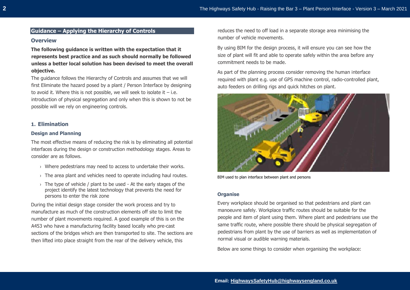# **Guidance – Applying the Hierarchy of Controls**

## **Overview**

**The following guidance is written with the expectation that it represents best practice and as such should normally be followed unless a better local solution has been devised to meet the overall objective.** 

The guidance follows the Hierarchy of Controls and assumes that we will first Eliminate the hazard posed by a plant / Person Interface by designing to avoid it. Where this is not possible, we will seek to isolate it  $-$  i.e. introduction of physical segregation and only when this is shown to not be possible will we rely on engineering controls.

## **1. Elimination**

## **Design and Planning**

The most effective means of reducing the risk is by eliminating all potential interfaces during the design or construction methodology stages. Areas to consider are as follows.

- › Where pedestrians may need to access to undertake their works.
- $\rightarrow$  The area plant and vehicles need to operate including haul routes.
- $\rightarrow$  The type of vehicle / plant to be used At the early stages of the project identify the latest technology that prevents the need for persons to enter the risk zone

During the initial design stage consider the work process and try to manufacture as much of the construction elements off site to limit the number of plant movements required. A good example of this is on the A453 who have a manufacturing facility based locally who pre-cast sections of the bridges which are then transported to site. The sections are then lifted into place straight from the rear of the delivery vehicle, this

reduces the need to off load in a separate storage area minimising the number of vehicle movements.

By using BIM for the design process, it will ensure you can see how the size of plant will fit and able to operate safely within the area before any commitment needs to be made.

As part of the planning process consider removing the human interface required with plant e.g. use of GPS machine control, radio-controlled plant, auto feeders on drilling rigs and quick hitches on plant.



BIM used to plan interface between plant and persons

#### **Organise**

Every workplace should be organised so that pedestrians and plant can manoeuvre safely. Workplace traffic routes should be suitable for the people and item of plant using them. Where plant and pedestrians use the same traffic route, where possible there should be physical segregation of pedestrians from plant by the use of barriers as well as implementation of normal visual or audible warning materials.

Below are some things to consider when organising the workplace: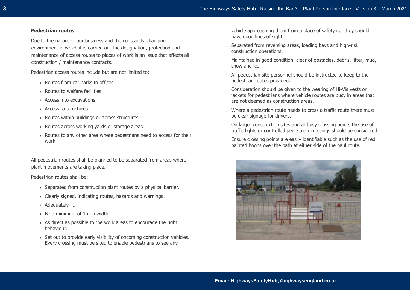#### **Pedestrian routes**

Due to the nature of our business and the constantly changing environment in which it is carried out the designation, protection and maintenance of access routes to places of work is an issue that affects all construction / maintenance contracts.

Pedestrian access routes include but are not limited to:

- › Routes from car parks to offices
- › Routes to welfare facilities
- › Access into excavations
- › Access to structures
- › Routes within buildings or across structures
- › Routes across working yards or storage areas
- $\rightarrow$  Routes to any other area where pedestrians need to access for their work.

All pedestrian routes shall be planned to be separated from areas where plant movements are taking place.

Pedestrian routes shall be:

- › Separated from construction plant routes by a physical barrier.
- › Clearly signed, indicating routes, hazards and warnings.
- › Adequately lit.
- $\rightarrow$  Be a minimum of 1m in width.
- $\rightarrow$  As direct as possible to the work areas to encourage the right behaviour.
- $\rightarrow$  Set out to provide early visibility of oncoming construction vehicles. Every crossing must be sited to enable pedestrians to see any

vehicle approaching them from a place of safety i.e. they should have good lines of sight.

- › Separated from reversing areas, loading bays and high-risk construction operations.
- › Maintained in good condition: clear of obstacles, debris, litter, mud, snow and ice
- › All pedestrian site personnel should be instructed to keep to the pedestrian routes provided.
- › Consideration should be given to the wearing of Hi-Vis vests or jackets for pedestrians where vehicle routes are busy in areas that are not deemed as construction areas.
- › Where a pedestrian route needs to cross a traffic route there must be clear signage for drivers.
- $\rightarrow$  On larger construction sites and at busy crossing points the use of traffic lights or controlled pedestrian crossings should be considered.
- $\rightarrow$  Ensure crossing points are easily identifiable such as the use of red painted hoops over the path at either side of the haul route.

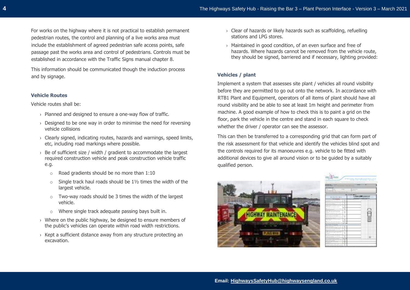For works on the highway where it is not practical to establish permanent pedestrian routes, the control and planning of a live works area must include the establishment of agreed pedestrian safe access points, safe passage past the works area and control of pedestrians. Controls must be established in accordance with the Traffic Signs manual chapter 8.

This information should be communicated though the induction process and by signage.

## **Vehicle Routes**

Vehicle routes shall be:

- › Planned and designed to ensure a one-way flow of traffic.
- $\rightarrow$  Designed to be one way in order to minimise the need for reversing vehicle collisions
- $\rightarrow$  Clearly signed, indicating routes, hazards and warnings, speed limits, etc, including road markings where possible.
- $\rightarrow$  Be of sufficient size / width / gradient to accommodate the largest required construction vehicle and peak construction vehicle traffic e.g.
	- o Road gradients should be no more than 1:10
	- $\circ$  Single track haul roads should be 11/2 times the width of the largest vehicle.
	- o Two-way roads should be 3 times the width of the largest vehicle.
	- o Where single track adequate passing bays built in.
- › Where on the public highway, be designed to ensure members of the public's vehicles can operate within road width restrictions.
- $\rightarrow$  Kept a sufficient distance away from any structure protecting an excavation.
- › Clear of hazards or likely hazards such as scaffolding, refuelling stations and LPG stores.
- › Maintained in good condition, of an even surface and free of hazards. Where hazards cannot be removed from the vehicle route, they should be signed, barriered and if necessary, lighting provided:

## **Vehicles / plant**

Implement a system that assesses site plant / vehicles all round visibility before they are permitted to go out onto the network. In accordance with RTB1 Plant and Equipment, operators of all items of plant should have all round visibility and be able to see at least 1m height and perimeter from machine. A good example of how to check this is to paint a grid on the floor, park the vehicle in the centre and stand in each square to check whether the driver / operator can see the assessor.

This can then be transferred to a corresponding grid that can form part of the risk assessment for that vehicle and identify the vehicles blind spot and the controls required for its manoeuvres e.g. vehicle to be fitted with additional devices to give all around vision or to be guided by a suitably qualified person.



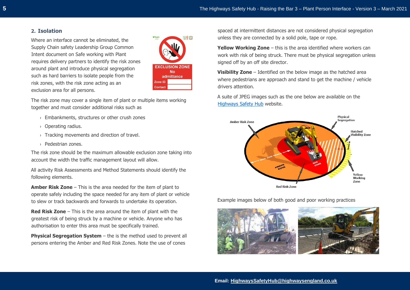# **2. Isolation**

Where an interface cannot be eliminated, the Supply Chain safety Leadership Group Common Intent document on Safe working with Plant requires delivery partners to identify the risk zones around plant and introduce physical segregation such as hard barriers to isolate people from the risk zones, with the risk zone acting as an exclusion area for all persons.



The risk zone may cover a single item of plant or multiple items working together and must consider additional risks such as

- › Embankments, structures or other crush zones
- › Operating radius.
- › Tracking movements and direction of travel.
- › Pedestrian zones.

The risk zone should be the maximum allowable exclusion zone taking into account the width the traffic management layout will allow.

All activity Risk Assessments and Method Statements should identify the following elements.

**Amber Risk Zone** – This is the area needed for the item of plant to operate safely including the space needed for any item of plant or vehicle to slew or track backwards and forwards to undertake its operation.

**Red Risk Zone** – This is the area around the item of plant with the greatest risk of being struck by a machine or vehicle. Anyone who has authorisation to enter this area must be specifically trained.

**Physical Segregation System** – the is the method used to prevent all persons entering the Amber and Red Risk Zones. Note the use of cones

spaced at intermittent distances are not considered physical segregation unless they are connected by a solid pole, tape or rope.

**Yellow Working Zone** – this is the area identified where workers can work with risk of being struck. There must be physical segregation unless signed off by an off site director.

**Visibility Zone** – Identified on the below image as the hatched area where pedestrians are approach and stand to get the machine / vehicle drivers attention.

A suite of JPEG images such as the one below are available on the [Highways Safety Hub](https://www.highwayssafetyhub.com/safe-working-with-plant.html) website.



Example images below of both good and poor working practices

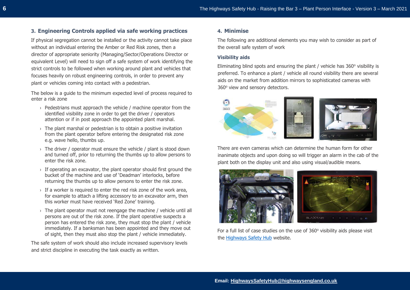# **3. Engineering Controls applied via safe working practices**

If physical segregation cannot be installed or the activity cannot take place without an individual entering the Amber or Red Risk zones, then a director of appropriate seniority (Managing/Sector/Operations Director or equivalent Level) will need to sign off a safe system of work identifying the strict controls to be followed when working around plant and vehicles that focuses heavily on robust engineering controls, in order to prevent any plant or vehicles coming into contact with a pedestrian.

The below is a guide to the minimum expected level of process required to enter a risk zone

- › Pedestrians must approach the vehicle / machine operator from the identified visibility zone in order to get the driver / operators attention or if in post approach the appointed plant marshal.
- $\rightarrow$  The plant marshal or pedestrian is to obtain a positive invitation from the plant operator before entering the designated risk zone e.g. wave hello, thumbs up.
- $\rightarrow$  The driver / operator must ensure the vehicle / plant is stood down and turned off, prior to returning the thumbs up to allow persons to enter the risk zone.
- $\rightarrow$  If operating an excavator, the plant operator should first ground the bucket of the machine and use of 'Deadman' interlocks, before returning the thumbs up to allow persons to enter the risk zone.
- $\rightarrow$  If a worker is required to enter the red risk zone of the work area, for example to attach a lifting accessory to an excavator arm, then this worker must have received 'Red Zone' training.
- $\rightarrow$  The plant operator must not reengage the machine / vehicle until all persons are out of the risk zone. If the plant operative suspects a person has entered the risk zone, they must stop the plant / vehicle immediately. If a banksman has been appointed and they move out of sight, then they must also stop the plant / vehicle immediately.

The safe system of work should also include increased supervisory levels and strict discipline in executing the task exactly as written.

## **4. Minimise**

The following are additional elements you may wish to consider as part of the overall safe system of work

## **Visibility aids**

Eliminating blind spots and ensuring the plant / vehicle has  $360^\circ$  visibility is preferred. To enhance a plant / vehicle all round visibility there are several aids on the market from addition mirrors to sophisticated cameras with 360° view and sensory detectors.



There are even cameras which can determine the human form for other inanimate objects and upon doing so will trigger an alarm in the cab of the plant both on the display unit and also using visual/audible means.



For a full list of case studies on the use of  $360^\circ$  visibility aids please visit the [Highways Safety Hub](https://www.highwayssafetyhub.com/safe-working-with-plant.html) website.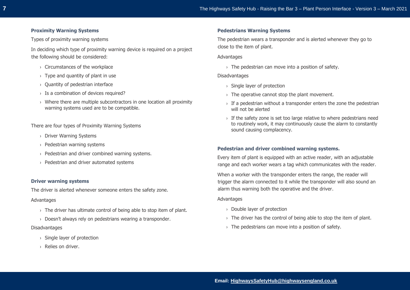## **Proximity Warning Systems**

Types of proximity warning systems

In deciding which type of proximity warning device is required on a project the following should be considered:

- › Circumstances of the workplace
- $\rightarrow$  Type and quantity of plant in use
- › Quantity of pedestrian interface
- › Is a combination of devices required?
- › Where there are multiple subcontractors in one location all proximity warning systems used are to be compatible.

There are four types of Proximity Warning Systems

- › Driver Warning Systems
- › Pedestrian warning systems
- › Pedestrian and driver combined warning systems.
- › Pedestrian and driver automated systems

## **Driver warning systems**

The driver is alerted whenever someone enters the safety zone.

#### Advantages

- $\rightarrow$  The driver has ultimate control of being able to stop item of plant.
- › Doesn't always rely on pedestrians wearing a transponder.

### Disadvantages

- › Single layer of protection
- › Relies on driver.

## **Pedestrians Warning Systems**

The pedestrian wears a transponder and is alerted whenever they go to close to the item of plant.

**Advantages** 

 $\rightarrow$  The pedestrian can move into a position of safety.

#### Disadvantages

- $\rightarrow$  Single layer of protection
- $\rightarrow$  The operative cannot stop the plant movement.
- $\rightarrow$  If a pedestrian without a transponder enters the zone the pedestrian will not be alerted
- $\rightarrow$  If the safety zone is set too large relative to where pedestrians need to routinely work, it may continuously cause the alarm to constantly sound causing complacency.

## **Pedestrian and driver combined warning systems.**

Every item of plant is equipped with an active reader, with an adjustable range and each worker wears a tag which communicates with the reader.

When a worker with the transponder enters the range, the reader will trigger the alarm connected to it while the transponder will also sound an alarm thus warning both the operative and the driver.

#### Advantages

- › Double layer of protection
- $\rightarrow$  The driver has the control of being able to stop the item of plant.
- $\rightarrow$  The pedestrians can move into a position of safety.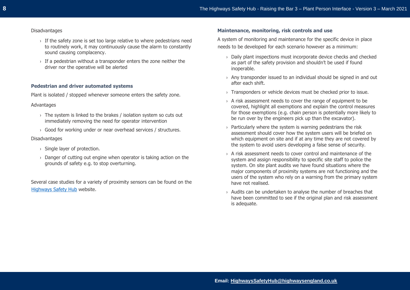## Disadvantages

- $\rightarrow$  If the safety zone is set too large relative to where pedestrians need to routinely work, it may continuously cause the alarm to constantly sound causing complacency.
- $\rightarrow$  If a pedestrian without a transponder enters the zone neither the driver nor the operative will be alerted

## **Pedestrian and driver automated systems**

Plant is isolated / stopped whenever someone enters the safety zone.

## Advantages

- › The system is linked to the brakes / isolation system so cuts out immediately removing the need for operator intervention
- › Good for working under or near overhead services / structures.

## **Disadvantages**

- › Single layer of protection.
- $\rightarrow$  Danger of cutting out engine when operator is taking action on the grounds of safety e.g. to stop overturning.

Several case studies for a variety of proximity sensors can be found on the [Highways Safety Hub](https://www.highwayssafetyhub.com/safe-working-with-plant.html) website.

## **Maintenance, monitoring, risk controls and use**

A system of monitoring and maintenance for the specific device in place needs to be developed for each scenario however as a minimum:

- › Daily plant inspections must incorporate device checks and checked as part of the safety provision and shouldn't be used if found inoperable.
- $\rightarrow$  Any transponder issued to an individual should be signed in and out after each shift.
- › Transponders or vehicle devices must be checked prior to issue.
- › A risk assessment needs to cover the range of equipment to be covered, highlight all exemptions and explain the control measures for those exemptions (e.g. chain person is potentially more likely to be run over by the engineers pick up than the excavator).
- $\rightarrow$  Particularly where the system is warning pedestrians the risk assessment should cover how the system users will be briefed on which equipment on site and if at any time they are not covered by the system to avoid users developing a false sense of security.
- $\rightarrow$  A risk assessment needs to cover control and maintenance of the system and assign responsibility to specific site staff to police the system. On site plant audits we have found situations where the major components of proximity systems are not functioning and the users of the system who rely on a warning from the primary system have not realised.
- $\rightarrow$  Audits can be undertaken to analyse the number of breaches that have been committed to see if the original plan and risk assessment is adequate.